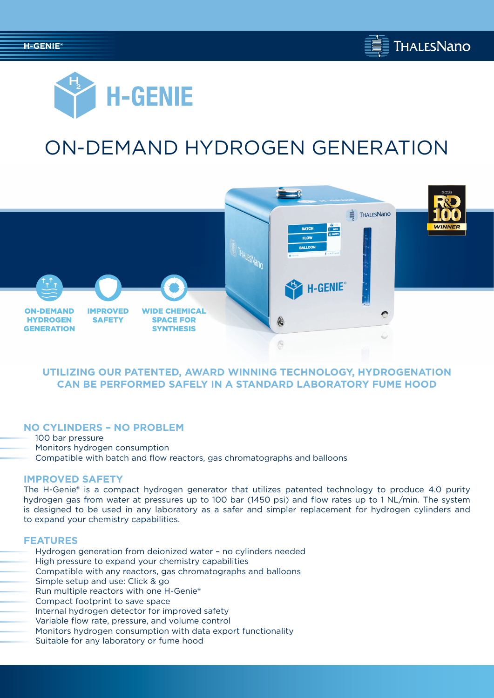



# ON-DEMAND HYDROGEN GENERATION



# **UTILIZING OUR PATENTED, AWARD WINNING TECHNOLOGY, HYDROGENATION CAN BE PERFORMED SAFELY IN A STANDARD LABORATORY FUME HOOD**

## **NO CYLINDERS – NO PROBLEM**

100 bar pressure Monitors hydrogen consumption Compatible with batch and flow reactors, gas chromatographs and balloons

#### **IMPROVED SAFETY**

The H-Genie® is a compact hydrogen generator that utilizes patented technology to produce 4.0 purity hydrogen gas from water at pressures up to 100 bar (1450 psi) and flow rates up to 1 NL/min. The system is designed to be used in any laboratory as a safer and simpler replacement for hydrogen cylinders and to expand your chemistry capabilities.

#### **FEATURES**

- Hydrogen generation from deionized water no cylinders needed
- High pressure to expand your chemistry capabilities
- Compatible with any reactors, gas chromatographs and balloons
- Simple setup and use: Click & go
- Run multiple reactors with one H-Genie®
- Compact footprint to save space
- Internal hydrogen detector for improved safety
- Variable flow rate, pressure, and volume control
- Monitors hydrogen consumption with data export functionality
- Suitable for any laboratory or fume hood